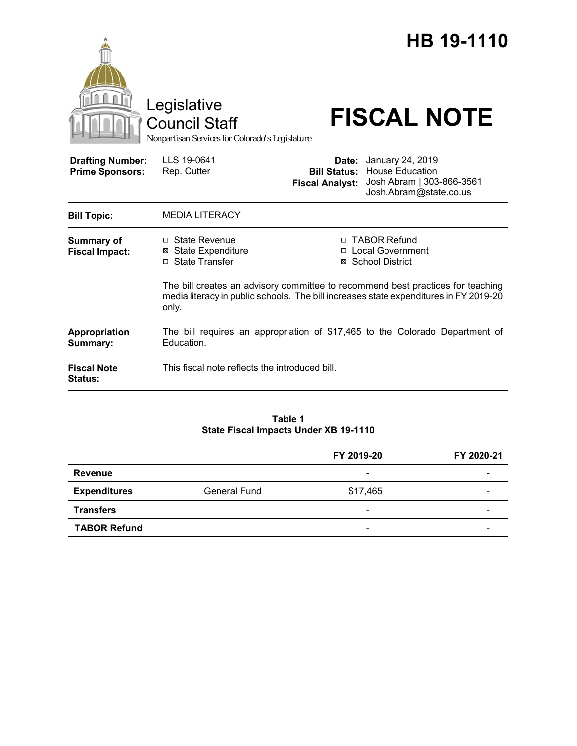|                                                   | Legislative<br><b>Council Staff</b><br>Nonpartisan Services for Colorado's Legislature         |                                                        | HB 19-1110<br><b>FISCAL NOTE</b>                                                                                                             |  |
|---------------------------------------------------|------------------------------------------------------------------------------------------------|--------------------------------------------------------|----------------------------------------------------------------------------------------------------------------------------------------------|--|
| <b>Drafting Number:</b><br><b>Prime Sponsors:</b> | LLS 19-0641<br>Rep. Cutter                                                                     | Date:<br><b>Bill Status:</b><br><b>Fiscal Analyst:</b> | January 24, 2019<br><b>House Education</b><br>Josh Abram   303-866-3561<br>Josh.Abram@state.co.us                                            |  |
| <b>Bill Topic:</b>                                | <b>MEDIA LITERACY</b>                                                                          |                                                        |                                                                                                                                              |  |
| <b>Summary of</b><br><b>Fiscal Impact:</b>        | □ State Revenue<br><b>⊠ State Expenditure</b><br>□ State Transfer                              |                                                        | □ TABOR Refund<br>□ Local Government<br>⊠ School District<br>The bill creates an advisory committee to recommend best practices for teaching |  |
|                                                   | media literacy in public schools. The bill increases state expenditures in FY 2019-20<br>only. |                                                        |                                                                                                                                              |  |
| Appropriation<br>Summary:                         | The bill requires an appropriation of \$17,465 to the Colorado Department of<br>Education.     |                                                        |                                                                                                                                              |  |
| <b>Fiscal Note</b><br>Status:                     | This fiscal note reflects the introduced bill.                                                 |                                                        |                                                                                                                                              |  |

### **Table 1 State Fiscal Impacts Under XB 19-1110**

|                     |              | FY 2019-20               | FY 2020-21 |
|---------------------|--------------|--------------------------|------------|
| <b>Revenue</b>      |              | $\overline{\phantom{0}}$ |            |
| <b>Expenditures</b> | General Fund | \$17,465                 |            |
| <b>Transfers</b>    |              | $\overline{\phantom{0}}$ | -          |
| <b>TABOR Refund</b> |              | $\overline{\phantom{0}}$ | -          |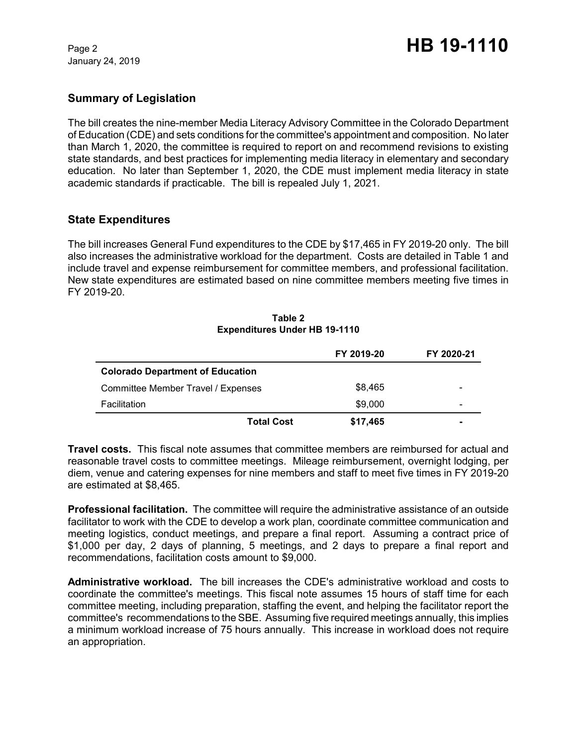January 24, 2019

# **Summary of Legislation**

The bill creates the nine-member Media Literacy Advisory Committee in the Colorado Department of Education (CDE) and sets conditions for the committee's appointment and composition. No later than March 1, 2020, the committee is required to report on and recommend revisions to existing state standards, and best practices for implementing media literacy in elementary and secondary education. No later than September 1, 2020, the CDE must implement media literacy in state academic standards if practicable. The bill is repealed July 1, 2021.

## **State Expenditures**

The bill increases General Fund expenditures to the CDE by \$17,465 in FY 2019-20 only. The bill also increases the administrative workload for the department. Costs are detailed in Table 1 and include travel and expense reimbursement for committee members, and professional facilitation. New state expenditures are estimated based on nine committee members meeting five times in FY 2019-20.

|                                         | FY 2019-20 | FY 2020-21 |
|-----------------------------------------|------------|------------|
| <b>Colorado Department of Education</b> |            |            |
| Committee Member Travel / Expenses      | \$8,465    |            |
| Facilitation                            | \$9,000    | -          |
| <b>Total Cost</b>                       | \$17,465   |            |

#### **Table 2 Expenditures Under HB 19-1110**

**Travel costs.** This fiscal note assumes that committee members are reimbursed for actual and reasonable travel costs to committee meetings. Mileage reimbursement, overnight lodging, per diem, venue and catering expenses for nine members and staff to meet five times in FY 2019-20 are estimated at \$8,465.

**Professional facilitation.** The committee will require the administrative assistance of an outside facilitator to work with the CDE to develop a work plan, coordinate committee communication and meeting logistics, conduct meetings, and prepare a final report. Assuming a contract price of \$1,000 per day, 2 days of planning, 5 meetings, and 2 days to prepare a final report and recommendations, facilitation costs amount to \$9,000.

**Administrative workload.** The bill increases the CDE's administrative workload and costs to coordinate the committee's meetings. This fiscal note assumes 15 hours of staff time for each committee meeting, including preparation, staffing the event, and helping the facilitator report the committee's recommendations to the SBE. Assuming five required meetings annually, this implies a minimum workload increase of 75 hours annually. This increase in workload does not require an appropriation.